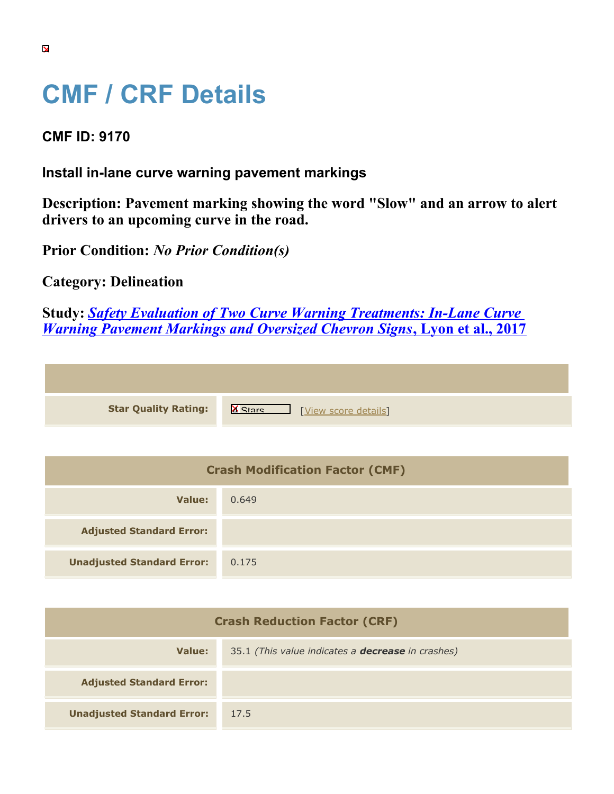## **CMF / CRF Details**

## **CMF ID: 9170**

## **Install in-lane curve warning pavement markings**

**Description: Pavement marking showing the word "Slow" and an arrow to alert drivers to an upcoming curve in the road.**

**Prior Condition:** *No Prior Condition(s)*

**Category: Delineation**

**Study:** *[Safety Evaluation of Two Curve Warning Treatments: In-Lane Curve](https://cmfclearinghouse.org/study_detail.cfm?stid=482) [Warning Pavement Markings and Oversized Chevron Signs](https://cmfclearinghouse.org/study_detail.cfm?stid=482)***[, Lyon et al., 2017](https://cmfclearinghouse.org/study_detail.cfm?stid=482)**

|  | <b>Star Quality Rating:</b> |
|--|-----------------------------|

**IS A RATION CONTROVER SCORE DETAILS** 

| <b>Crash Modification Factor (CMF)</b> |       |  |
|----------------------------------------|-------|--|
| Value:                                 | 0.649 |  |
| <b>Adjusted Standard Error:</b>        |       |  |
| <b>Unadjusted Standard Error:</b>      | 0.175 |  |

| <b>Crash Reduction Factor (CRF)</b> |                                                          |  |
|-------------------------------------|----------------------------------------------------------|--|
| Value:                              | 35.1 (This value indicates a <b>decrease</b> in crashes) |  |
| <b>Adjusted Standard Error:</b>     |                                                          |  |
| <b>Unadjusted Standard Error:</b>   | 17.5                                                     |  |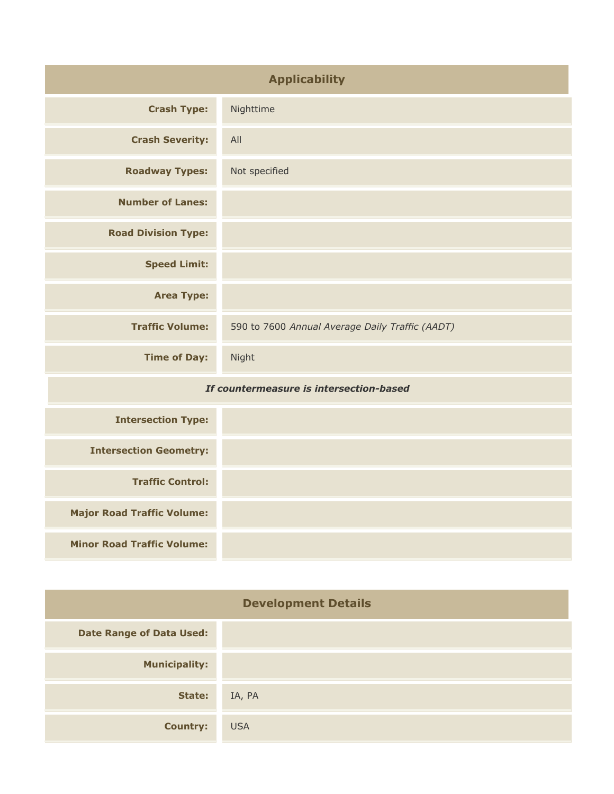| <b>Applicability</b>                    |                                                 |  |
|-----------------------------------------|-------------------------------------------------|--|
| <b>Crash Type:</b>                      | Nighttime                                       |  |
| <b>Crash Severity:</b>                  | All                                             |  |
| <b>Roadway Types:</b>                   | Not specified                                   |  |
| <b>Number of Lanes:</b>                 |                                                 |  |
| <b>Road Division Type:</b>              |                                                 |  |
| <b>Speed Limit:</b>                     |                                                 |  |
| <b>Area Type:</b>                       |                                                 |  |
| <b>Traffic Volume:</b>                  | 590 to 7600 Annual Average Daily Traffic (AADT) |  |
| <b>Time of Day:</b>                     | Night                                           |  |
| If countermeasure is intersection-based |                                                 |  |
| <b>Intersection Type:</b>               |                                                 |  |
| <b>Intersection Geometry:</b>           |                                                 |  |
| <b>Traffic Control:</b>                 |                                                 |  |
| <b>Major Road Traffic Volume:</b>       |                                                 |  |
| <b>Minor Road Traffic Volume:</b>       |                                                 |  |

| <b>Development Details</b>      |            |
|---------------------------------|------------|
| <b>Date Range of Data Used:</b> |            |
| <b>Municipality:</b>            |            |
| State:                          | IA, PA     |
| <b>Country:</b>                 | <b>USA</b> |